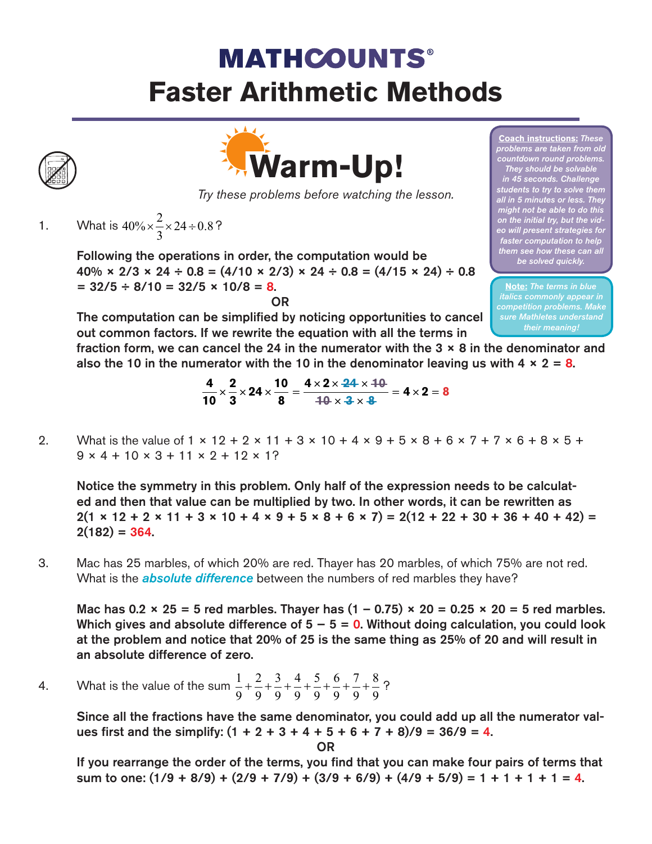## **MATHCOUNTS® Faster Arithmetic Methods**



*Try these problems before watching the lesson.*

1. What is  $40\% \times \frac{2}{5} \times 24 \div 0.8$ ?  $\% \times \frac{2}{3} \times 24 \div 0.8$ 

> Following the operations in order, the computation would be  $40\% \times 2/3 \times 24 \div 0.8 = (4/10 \times 2/3) \times 24 \div 0.8 = (4/15 \times 24) \div 0.8$  $= 32/5 \div 8/10 = 32/5 \times 10/8 = 8.$ OR

The computation can be simplified by noticing opportunities to cancel out common factors. If we rewrite the equation with all the terms in

**Coach instructions:** *These problems are taken from old countdown round problems. They should be solvable in 45 seconds. Challenge students to try to solve them all in 5 minutes or less. The might not be able to do this on the initial try, but the video will present strategies for faster computation to help them see how these can all be solved quickly.* 

**Note:** *The terms in blue italics commonly appear in competition problems. Make sure Mathletes understand their meaning!*

fraction form, we can cancel the 24 in the numerator with the  $3 \times 8$  in the denominator and also the 10 in the numerator with the 10 in the denominator leaving us with  $4 \times 2 = 8$ .

$$
\frac{4}{10} \times \frac{2}{3} \times 24 \times \frac{10}{8} = \frac{4 \times 2 \times 24 \times 10}{10 \times 3 \times 8} = 4 \times 2 = 8
$$

2. What is the value of  $1 \times 12 + 2 \times 11 + 3 \times 10 + 4 \times 9 + 5 \times 8 + 6 \times 7 + 7 \times 6 + 8 \times 5 +$  $9 \times 4 + 10 \times 3 + 11 \times 2 + 12 \times 12$ 

Notice the symmetry in this problem. Only half of the expression needs to be calculated and then that value can be multiplied by two. In other words, it can be rewritten as  $2(1 \times 12 + 2 \times 11 + 3 \times 10 + 4 \times 9 + 5 \times 8 + 6 \times 7) = 2(12 + 22 + 30 + 36 + 40 + 42) =$  $2(182) = 364.$ 

3. Mac has 25 marbles, of which 20% are red. Thayer has 20 marbles, of which 75% are not red. What is the *absolute difference* between the numbers of red marbles they have?

Mac has 0.2  $\times$  25 = 5 red marbles. Thayer has  $(1 - 0.75) \times 20 = 0.25 \times 20 = 5$  red marbles. Which gives and absolute difference of  $5 - 5 = 0$ . Without doing calculation, you could look at the problem and notice that 20% of 25 is the same thing as 25% of 20 and will result in an absolute difference of zero.

4. What is the value of the sum  $\frac{1}{2} + \frac{2}{3} + \frac{3}{4} + \frac{5}{8} + \frac{9}{8} + \frac{1}{8} + \frac{9}{8} + \frac{9}{8}$ ? 1 9 2 9 3 9 4 9 5 9 6 9 7 9 8  $+\frac{2}{9}+\frac{3}{9}+\frac{4}{9}+\frac{5}{9}+\frac{6}{9}+\frac{7}{9}+\frac{6}{9}$ 

> Since all the fractions have the same denominator, you could add up all the numerator values first and the simplify:  $(1 + 2 + 3 + 4 + 5 + 6 + 7 + 8)/9 = 36/9 = 4$ .

> > OR

If you rearrange the order of the terms, you find that you can make four pairs of terms that sum to one:  $(1/9 + 8/9) + (2/9 + 7/9) + (3/9 + 6/9) + (4/9 + 5/9) = 1 + 1 + 1 + 1 = 4$ .

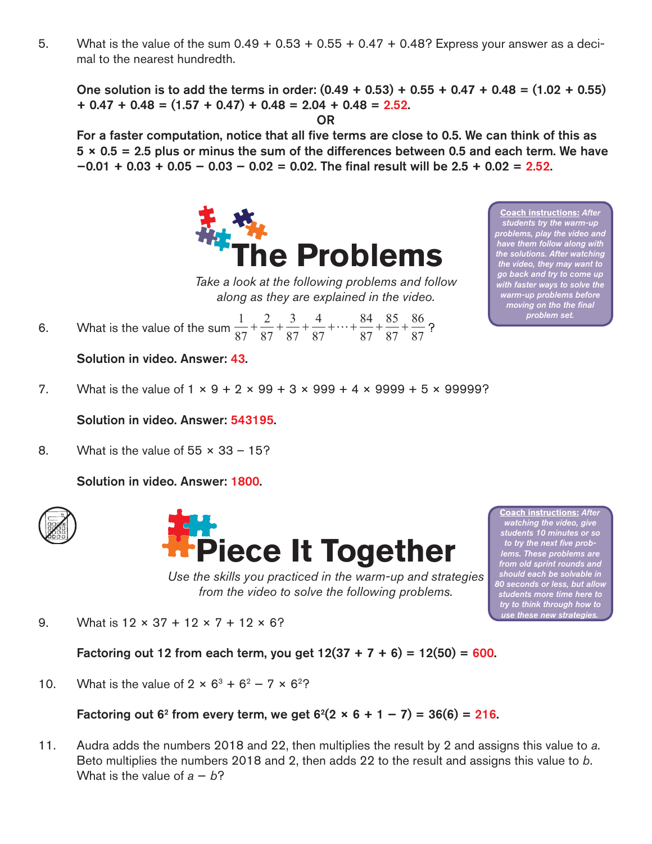5. What is the value of the sum  $0.49 + 0.53 + 0.55 + 0.47 + 0.48$ ? Express your answer as a decimal to the nearest hundredth.

One solution is to add the terms in order:  $(0.49 + 0.53) + 0.55 + 0.47 + 0.48 = (1.02 + 0.55)$  $+ 0.47 + 0.48 = (1.57 + 0.47) + 0.48 = 2.04 + 0.48 = 2.52$ .

OR

For a faster computation, notice that all five terms are close to 0.5. We can think of this as  $5 \times 0.5 = 2.5$  plus or minus the sum of the differences between 0.5 and each term. We have  $-0.01 + 0.03 + 0.05 - 0.03 - 0.02 = 0.02$ . The final result will be  $2.5 + 0.02 = 2.52$ .



*Take a look at the following problems and follow along as they are explained in the video.*

6. What is the value of the sum  $\frac{1}{27} + \frac{1}{27} + \frac{1}{27} + \frac{1}{27} + \frac{1}{27} + \frac{1}{27} + \frac{1}{27} + \frac{1}{27}$ ? 1 87 2 87 3 87 4 87 84 87 85 87 86  $+\frac{2}{87}+\frac{5}{87}+\frac{4}{87}+\cdots+\frac{64}{87}+\frac{85}{87}+\frac{80}{87}$ 

Solution in video. Answer: 43.

7. What is the value of  $1 \times 9 + 2 \times 99 + 3 \times 999 + 4 \times 9999 + 5 \times 99999$ ?

Solution in video. Answer: 543195.

8. What is the value of  $55 \times 33 - 15$ ?

Solution in video. Answer: 1800.





*Use the skills you practiced in the warm-up and strategies from the video to solve the following problems.*

**Coach instructions:** *After watching the video, give students 10 minutes or so to try the next five problems. These problems are from old sprint rounds and should each be solvable in 80 seconds or less, but allow students more time here to try to think through how to use these new strategies.* 

9. What is  $12 \times 37 + 12 \times 7 + 12 \times 6$ ?

Factoring out 12 from each term, you get  $12(37 + 7 + 6) = 12(50) = 600$ .

10. What is the value of  $2 \times 6^3 + 6^2 - 7 \times 6^2$ ?

Factoring out 6<sup>2</sup> from every term, we get  $6^2(2 \times 6 + 1 - 7) = 36(6) = 216$ .

11. Audra adds the numbers 2018 and 22, then multiplies the result by 2 and assigns this value to *a*. Beto multiplies the numbers 2018 and 2, then adds 22 to the result and assigns this value to *b*. What is the value of  $a - b$ ?

*students try the warm-up problems, play the video and have them follow along with the solutions. After watching the video, they may want to go back and try to come up with faster ways to solve the warm-up problems before moving on tho the final problem set.* 

**Coach instructions:** *After*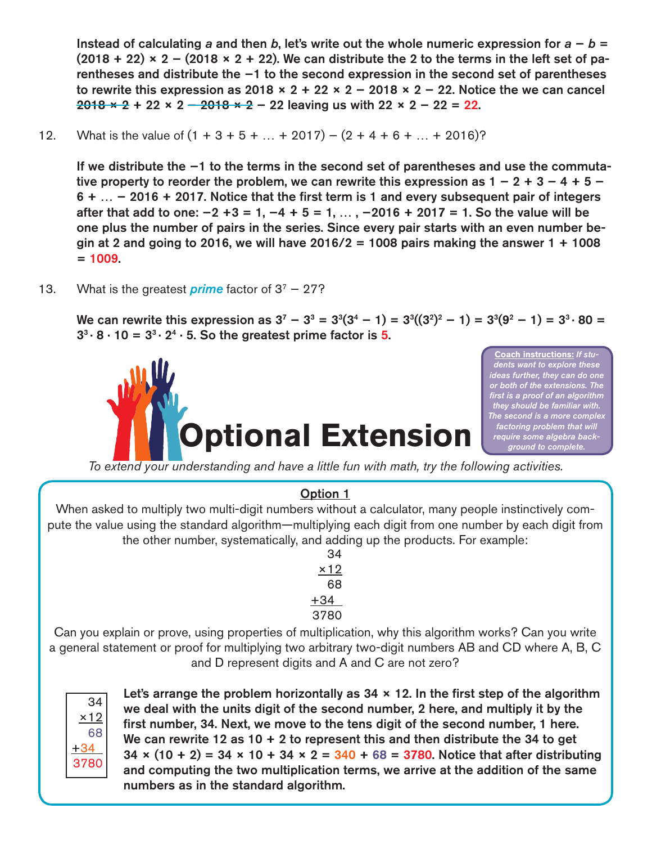Instead of calculating *a* and then *b*, let's write out the whole numeric expression for *a* − *b* =  $(2018 + 22) \times 2 - (2018 \times 2 + 22)$ . We can distribute the 2 to the terms in the left set of parentheses and distribute the −1 to the second expression in the second set of parentheses to rewrite this expression as 2018  $\times$  2 + 22  $\times$  2 - 2018  $\times$  2 - 22. Notice the we can cancel  $2018 \times 2 + 22 \times 2 - 2018 \times 2 - 22$  leaving us with  $22 \times 2 - 22 = 22$ .

12. What is the value of  $(1 + 3 + 5 + ... + 2017) - (2 + 4 + 6 + ... + 2016)$ ?

If we distribute the −1 to the terms in the second set of parentheses and use the commutative property to reorder the problem, we can rewrite this expression as  $1 - 2 + 3 - 4 + 5 - 4$ 6 + … − 2016 + 2017. Notice that the first term is 1 and every subsequent pair of integers after that add to one:  $-2 +3 = 1, -4 + 5 = 1, ...$ ,  $-2016 + 2017 = 1$ . So the value will be one plus the number of pairs in the series. Since every pair starts with an even number begin at 2 and going to 2016, we will have  $2016/2 = 1008$  pairs making the answer 1 + 1008  $= 1009.$ 

13. What is the greatest *prime* factor of 37 − 27?

We can rewrite this expression as  $3^7 - 3^3 = 3^3(3^4 - 1) = 3^3((3^2)^2 - 1) = 3^3(9^2 - 1) = 3^3 \cdot 80 = 1$  $3^3 \cdot 8 \cdot 10 = 3^3 \cdot 2^4 \cdot 5$ . So the greatest prime factor is 5.



**Coach instructions:** *If students want to explore these ideas further, they can do one or both of the extensions. The first is a proof of an algorithm they should be familiar with. The second is a more complex factoring problem that will require some algebra background to complete.*

*To extend your understanding and have a little fun with math, try the following activities.*

## Option 1

When asked to multiply two multi-digit numbers without a calculator, many people instinctively compute the value using the standard algorithm—multiplying each digit from one number by each digit from the other number, systematically, and adding up the products. For example:

> 34  $x12$ 68  $+34$ 3780

Can you explain or prove, using properties of multiplication, why this algorithm works? Can you write a general statement or proof for multiplying two arbitrary two-digit numbers AB and CD where A, B, C and D represent digits and A and C are not zero?



Let's arrange the problem horizontally as  $34 \times 12$ . In the first step of the algorithm we deal with the units digit of the second number, 2 here, and multiply it by the first number, 34. Next, we move to the tens digit of the second number, 1 here. We can rewrite 12 as 10 + 2 to represent this and then distribute the 34 to get 34  $\times$  (10 + 2) = 34  $\times$  10 + 34  $\times$  2 = 340 + 68 = 3780. Notice that after distributing and computing the two multiplication terms, we arrive at the addition of the same numbers as in the standard algorithm.